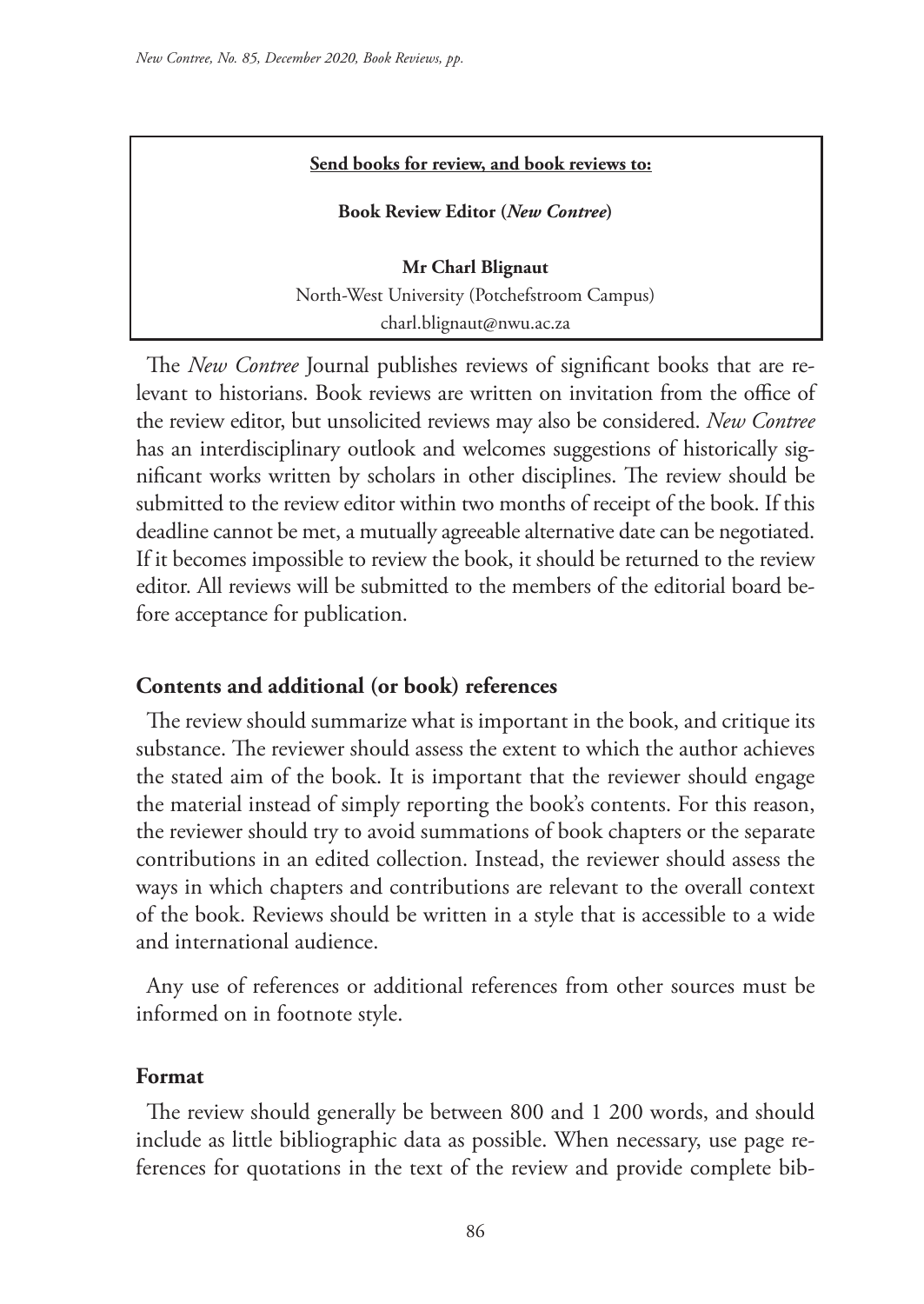#### **Send books for review, and book reviews to:**

**Book Review Editor (***New Contree***)** 

**Mr Charl Blignaut** North-West University (Potchefstroom Campus) charl.blignaut@nwu.ac.za

The *New Contree* Journal publishes reviews of significant books that are relevant to historians. Book reviews are written on invitation from the office of the review editor, but unsolicited reviews may also be considered. *New Contree*  has an interdisciplinary outlook and welcomes suggestions of historically significant works written by scholars in other disciplines. The review should be submitted to the review editor within two months of receipt of the book. If this deadline cannot be met, a mutually agreeable alternative date can be negotiated. If it becomes impossible to review the book, it should be returned to the review editor. All reviews will be submitted to the members of the editorial board before acceptance for publication.

## **Contents and additional (or book) references**

The review should summarize what is important in the book, and critique its substance. The reviewer should assess the extent to which the author achieves the stated aim of the book. It is important that the reviewer should engage the material instead of simply reporting the book's contents. For this reason, the reviewer should try to avoid summations of book chapters or the separate contributions in an edited collection. Instead, the reviewer should assess the ways in which chapters and contributions are relevant to the overall context of the book. Reviews should be written in a style that is accessible to a wide and international audience.

Any use of references or additional references from other sources must be informed on in footnote style.

#### **Format**

The review should generally be between 800 and 1 200 words, and should include as little bibliographic data as possible. When necessary, use page references for quotations in the text of the review and provide complete bib-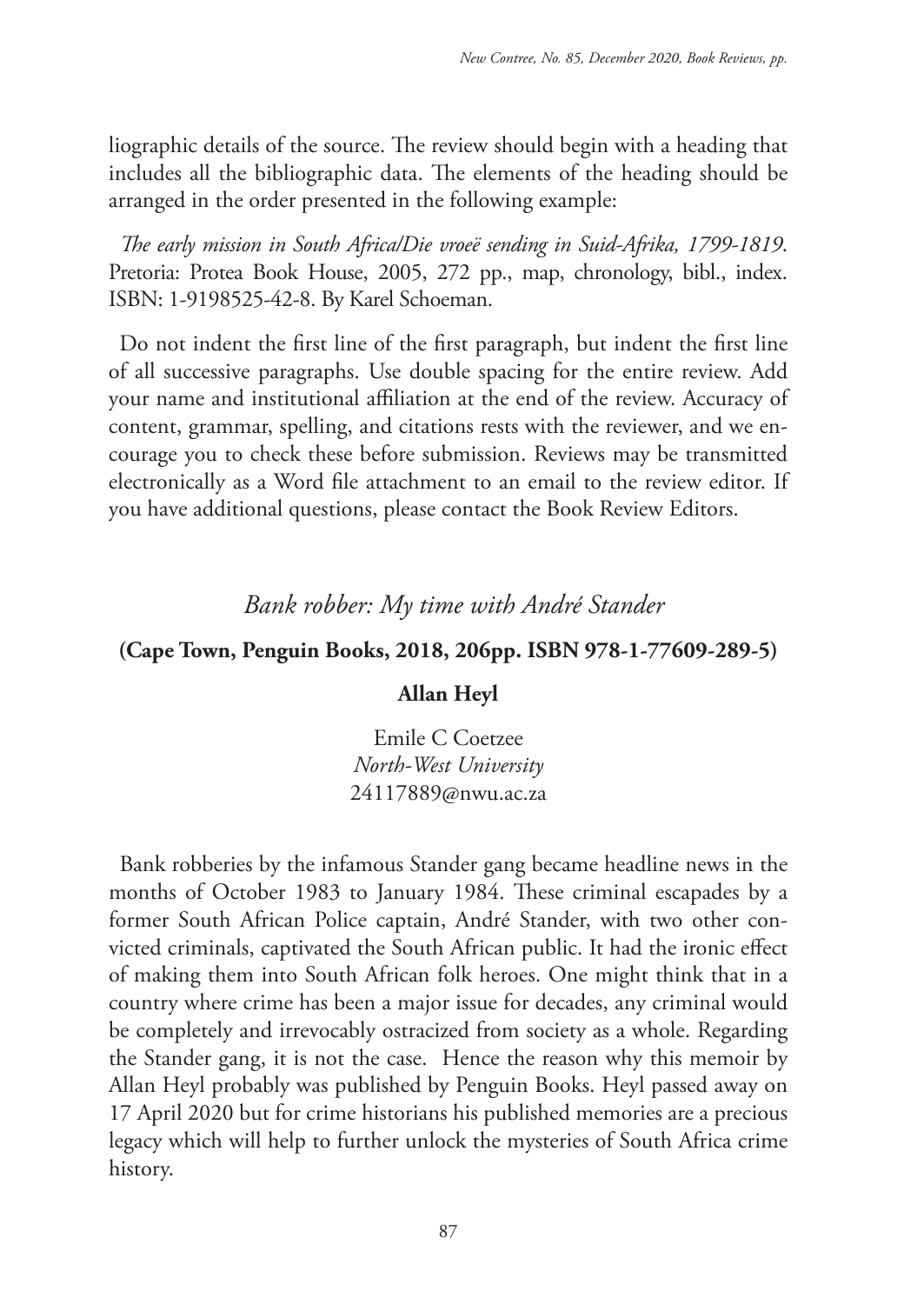liographic details of the source. The review should begin with a heading that includes all the bibliographic data. The elements of the heading should be arranged in the order presented in the following example:

*The early mission in South Africa/Die vroeë sending in Suid-Afrika, 1799-1819*. Pretoria: Protea Book House, 2005, 272 pp., map, chronology, bibl., index. ISBN: 1-9198525-42-8. By Karel Schoeman.

Do not indent the first line of the first paragraph, but indent the first line of all successive paragraphs. Use double spacing for the entire review. Add your name and institutional affiliation at the end of the review. Accuracy of content, grammar, spelling, and citations rests with the reviewer, and we encourage you to check these before submission. Reviews may be transmitted electronically as a Word file attachment to an email to the review editor. If you have additional questions, please contact the Book Review Editors.

# *Bank robber: My time with André Stander*

# **(Cape Town, Penguin Books, 2018, 206pp. ISBN 978-1-77609-289-5)**

## **Allan Heyl**

Emile C Coetzee *North-West University* 24117889@nwu.ac.za

Bank robberies by the infamous Stander gang became headline news in the months of October 1983 to January 1984. These criminal escapades by a former South African Police captain, André Stander, with two other convicted criminals, captivated the South African public. It had the ironic effect of making them into South African folk heroes. One might think that in a country where crime has been a major issue for decades, any criminal would be completely and irrevocably ostracized from society as a whole. Regarding the Stander gang, it is not the case. Hence the reason why this memoir by Allan Heyl probably was published by Penguin Books. Heyl passed away on 17 April 2020 but for crime historians his published memories are a precious legacy which will help to further unlock the mysteries of South Africa crime history.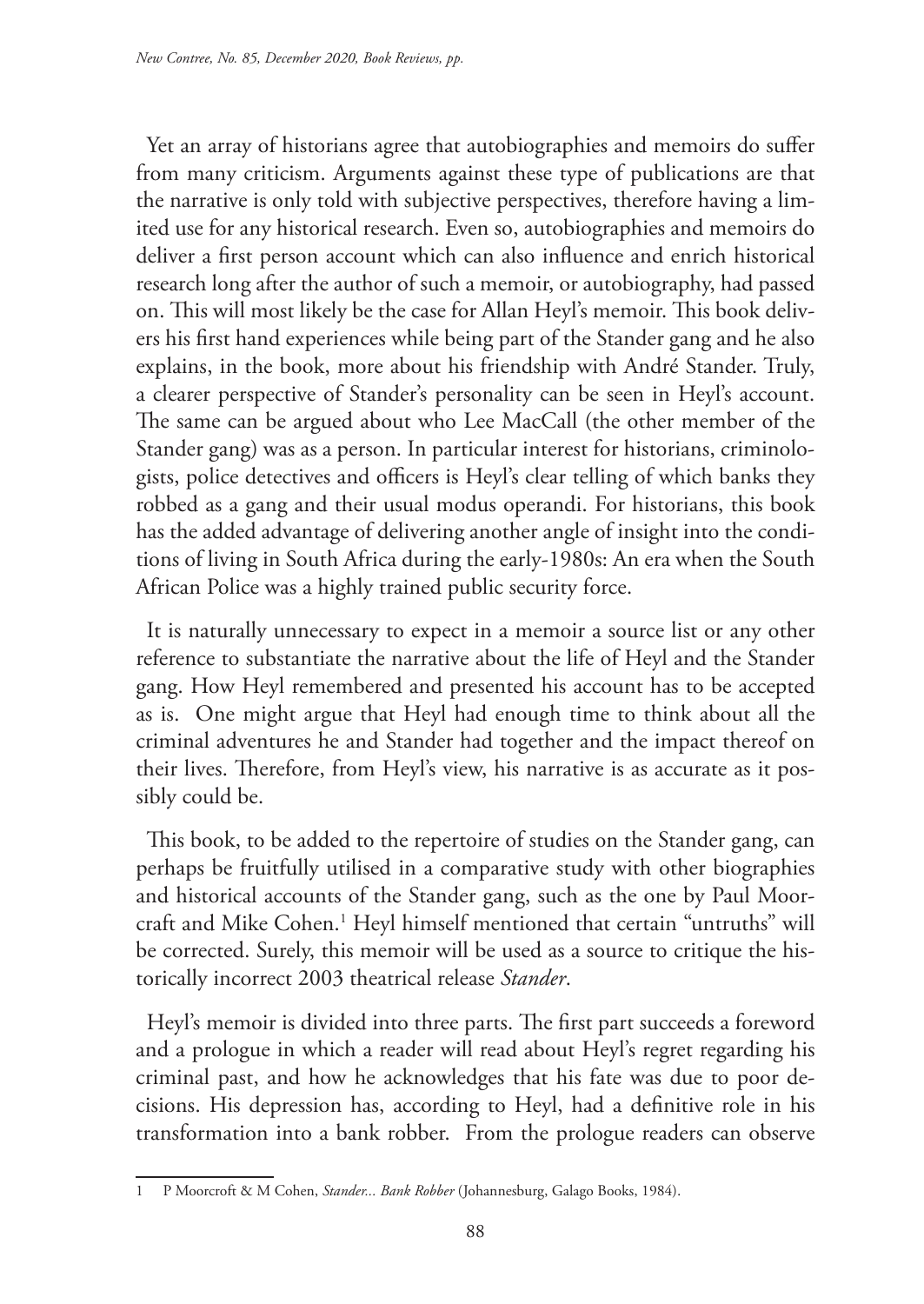Yet an array of historians agree that autobiographies and memoirs do suffer from many criticism. Arguments against these type of publications are that the narrative is only told with subjective perspectives, therefore having a limited use for any historical research. Even so, autobiographies and memoirs do deliver a first person account which can also influence and enrich historical research long after the author of such a memoir, or autobiography, had passed on. This will most likely be the case for Allan Heyl's memoir. This book delivers his first hand experiences while being part of the Stander gang and he also explains, in the book, more about his friendship with André Stander. Truly, a clearer perspective of Stander's personality can be seen in Heyl's account. The same can be argued about who Lee MacCall (the other member of the Stander gang) was as a person. In particular interest for historians, criminologists, police detectives and officers is Heyl's clear telling of which banks they robbed as a gang and their usual modus operandi. For historians, this book has the added advantage of delivering another angle of insight into the conditions of living in South Africa during the early-1980s: An era when the South African Police was a highly trained public security force.

It is naturally unnecessary to expect in a memoir a source list or any other reference to substantiate the narrative about the life of Heyl and the Stander gang. How Heyl remembered and presented his account has to be accepted as is. One might argue that Heyl had enough time to think about all the criminal adventures he and Stander had together and the impact thereof on their lives. Therefore, from Heyl's view, his narrative is as accurate as it possibly could be.

This book, to be added to the repertoire of studies on the Stander gang, can perhaps be fruitfully utilised in a comparative study with other biographies and historical accounts of the Stander gang, such as the one by Paul Moorcraft and Mike Cohen.1 Heyl himself mentioned that certain "untruths" will be corrected. Surely, this memoir will be used as a source to critique the historically incorrect 2003 theatrical release *Stander*.

Heyl's memoir is divided into three parts. The first part succeeds a foreword and a prologue in which a reader will read about Heyl's regret regarding his criminal past, and how he acknowledges that his fate was due to poor decisions. His depression has, according to Heyl, had a definitive role in his transformation into a bank robber. From the prologue readers can observe

<sup>1</sup> P Moorcroft & M Cohen, *Stander... Bank Robber* (Johannesburg, Galago Books, 1984).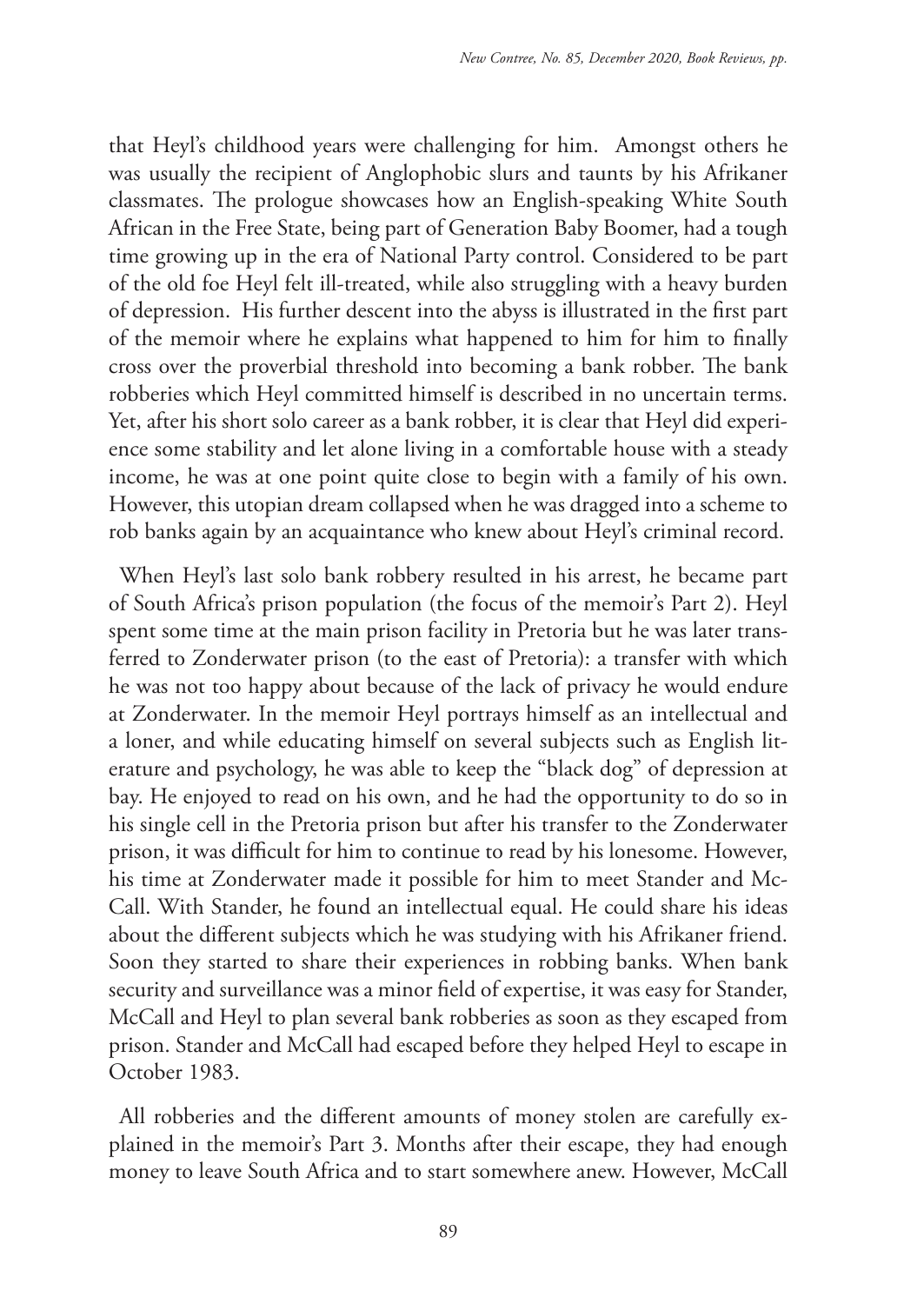that Heyl's childhood years were challenging for him. Amongst others he was usually the recipient of Anglophobic slurs and taunts by his Afrikaner classmates. The prologue showcases how an English-speaking White South African in the Free State, being part of Generation Baby Boomer, had a tough time growing up in the era of National Party control. Considered to be part of the old foe Heyl felt ill-treated, while also struggling with a heavy burden of depression. His further descent into the abyss is illustrated in the first part of the memoir where he explains what happened to him for him to finally cross over the proverbial threshold into becoming a bank robber. The bank robberies which Heyl committed himself is described in no uncertain terms. Yet, after his short solo career as a bank robber, it is clear that Heyl did experience some stability and let alone living in a comfortable house with a steady income, he was at one point quite close to begin with a family of his own. However, this utopian dream collapsed when he was dragged into a scheme to rob banks again by an acquaintance who knew about Heyl's criminal record.

When Heyl's last solo bank robbery resulted in his arrest, he became part of South Africa's prison population (the focus of the memoir's Part 2). Heyl spent some time at the main prison facility in Pretoria but he was later transferred to Zonderwater prison (to the east of Pretoria): a transfer with which he was not too happy about because of the lack of privacy he would endure at Zonderwater. In the memoir Heyl portrays himself as an intellectual and a loner, and while educating himself on several subjects such as English literature and psychology, he was able to keep the "black dog" of depression at bay. He enjoyed to read on his own, and he had the opportunity to do so in his single cell in the Pretoria prison but after his transfer to the Zonderwater prison, it was difficult for him to continue to read by his lonesome. However, his time at Zonderwater made it possible for him to meet Stander and Mc-Call. With Stander, he found an intellectual equal. He could share his ideas about the different subjects which he was studying with his Afrikaner friend. Soon they started to share their experiences in robbing banks. When bank security and surveillance was a minor field of expertise, it was easy for Stander, McCall and Heyl to plan several bank robberies as soon as they escaped from prison. Stander and McCall had escaped before they helped Heyl to escape in October 1983.

All robberies and the different amounts of money stolen are carefully explained in the memoir's Part 3. Months after their escape, they had enough money to leave South Africa and to start somewhere anew. However, McCall